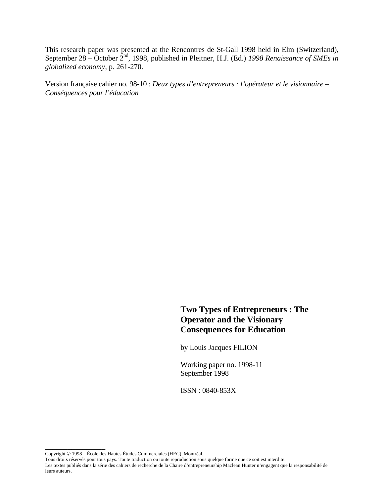This research paper was presented at the Rencontres de St-Gall 1998 held in Elm (Switzerland), September 28 – October 2<sup>nd</sup>, 1998, published in Pleitner, H.J. (Ed.) 1998 Renaissance of SMEs in *globalized economy*, p. 261-270.

Version française cahier no. 98-10 : *Deux types d'entrepreneurs : l'opérateur et le visionnaire – Conséquences pour l'éducation* 

# **Two Types of Entrepreneurs : The Operator and the Visionary Consequences for Education**

by Louis Jacques FILION

Working paper no. 1998-11 September 1998

ISSN : 0840-853X

\_\_\_\_\_\_\_\_\_\_\_\_\_\_\_\_

Les textes publiés dans la série des cahiers de recherche de la Chaire d'entrepreneurship Maclean Hunter n'engagent que la responsabilité de leurs auteurs.

Copyright © 1998 – École des Hautes Études Commerciales (HEC), Montréal.

Tous droits réservés pour tous pays. Toute traduction ou toute reproduction sous quelque forme que ce soit est interdite.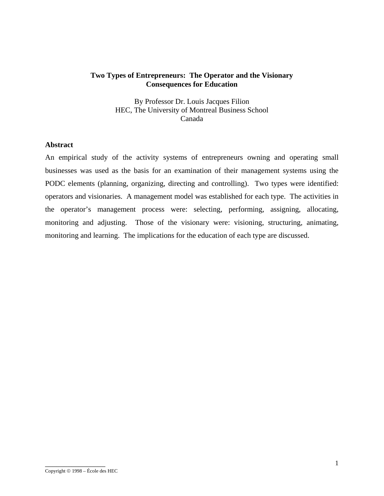# **Two Types of Entrepreneurs: The Operator and the Visionary Consequences for Education**

By Professor Dr. Louis Jacques Filion HEC, The University of Montreal Business School Canada

## **Abstract**

An empirical study of the activity systems of entrepreneurs owning and operating small businesses was used as the basis for an examination of their management systems using the PODC elements (planning, organizing, directing and controlling). Two types were identified: operators and visionaries. A management model was established for each type. The activities in the operator's management process were: selecting, performing, assigning, allocating, monitoring and adjusting. Those of the visionary were: visioning, structuring, animating, monitoring and learning. The implications for the education of each type are discussed.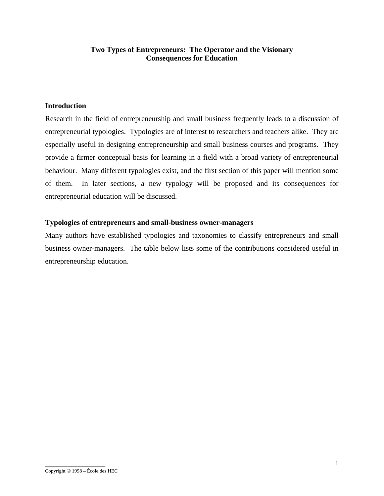# **Two Types of Entrepreneurs: The Operator and the Visionary Consequences for Education**

# **Introduction**

Research in the field of entrepreneurship and small business frequently leads to a discussion of entrepreneurial typologies. Typologies are of interest to researchers and teachers alike. They are especially useful in designing entrepreneurship and small business courses and programs. They provide a firmer conceptual basis for learning in a field with a broad variety of entrepreneurial behaviour. Many different typologies exist, and the first section of this paper will mention some of them. In later sections, a new typology will be proposed and its consequences for entrepreneurial education will be discussed.

### **Typologies of entrepreneurs and small-business owner-managers**

Many authors have established typologies and taxonomies to classify entrepreneurs and small business owner-managers. The table below lists some of the contributions considered useful in entrepreneurship education.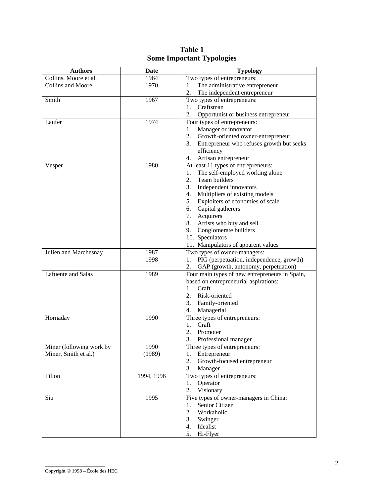| Collins, Moore et al.<br>Two types of entrepreneurs:<br>1964<br>Collins and Moore<br>1970<br>The administrative entrepreneur<br>1.<br>2.<br>The independent entrepreneur<br>Smith<br>Two types of entrepreneurs:<br>1967<br>1. Craftsman<br>2.<br>Opportunist or business entrepreneur<br>Laufer<br>1974<br>Four types of entrepreneurs:<br>1. Manager or innovator<br>2. Growth-oriented owner-entrepreneur<br>3. Entrepreneur who refuses growth but seeks<br>efficiency<br>Artisan entrepreneur<br>4.<br>Vesper | <b>Authors</b> | <b>Date</b> | <b>Typology</b>                                                                         |  |  |
|--------------------------------------------------------------------------------------------------------------------------------------------------------------------------------------------------------------------------------------------------------------------------------------------------------------------------------------------------------------------------------------------------------------------------------------------------------------------------------------------------------------------|----------------|-------------|-----------------------------------------------------------------------------------------|--|--|
|                                                                                                                                                                                                                                                                                                                                                                                                                                                                                                                    |                |             |                                                                                         |  |  |
|                                                                                                                                                                                                                                                                                                                                                                                                                                                                                                                    |                |             |                                                                                         |  |  |
|                                                                                                                                                                                                                                                                                                                                                                                                                                                                                                                    |                |             |                                                                                         |  |  |
|                                                                                                                                                                                                                                                                                                                                                                                                                                                                                                                    |                |             |                                                                                         |  |  |
|                                                                                                                                                                                                                                                                                                                                                                                                                                                                                                                    |                |             |                                                                                         |  |  |
|                                                                                                                                                                                                                                                                                                                                                                                                                                                                                                                    |                |             |                                                                                         |  |  |
|                                                                                                                                                                                                                                                                                                                                                                                                                                                                                                                    |                |             |                                                                                         |  |  |
|                                                                                                                                                                                                                                                                                                                                                                                                                                                                                                                    |                |             |                                                                                         |  |  |
|                                                                                                                                                                                                                                                                                                                                                                                                                                                                                                                    |                |             |                                                                                         |  |  |
|                                                                                                                                                                                                                                                                                                                                                                                                                                                                                                                    |                |             |                                                                                         |  |  |
|                                                                                                                                                                                                                                                                                                                                                                                                                                                                                                                    |                |             |                                                                                         |  |  |
|                                                                                                                                                                                                                                                                                                                                                                                                                                                                                                                    |                |             |                                                                                         |  |  |
|                                                                                                                                                                                                                                                                                                                                                                                                                                                                                                                    |                | 1980        | At least 11 types of entrepreneurs:                                                     |  |  |
| The self-employed working alone<br>1.                                                                                                                                                                                                                                                                                                                                                                                                                                                                              |                |             |                                                                                         |  |  |
| 2.<br>Team builders                                                                                                                                                                                                                                                                                                                                                                                                                                                                                                |                |             |                                                                                         |  |  |
| 3.<br>Independent innovators                                                                                                                                                                                                                                                                                                                                                                                                                                                                                       |                |             |                                                                                         |  |  |
| 4.<br>Multipliers of existing models                                                                                                                                                                                                                                                                                                                                                                                                                                                                               |                |             |                                                                                         |  |  |
| 5. Exploiters of economies of scale                                                                                                                                                                                                                                                                                                                                                                                                                                                                                |                |             |                                                                                         |  |  |
| 6. Capital gatherers                                                                                                                                                                                                                                                                                                                                                                                                                                                                                               |                |             |                                                                                         |  |  |
| 7. Acquirers                                                                                                                                                                                                                                                                                                                                                                                                                                                                                                       |                |             |                                                                                         |  |  |
| 8. Artists who buy and sell                                                                                                                                                                                                                                                                                                                                                                                                                                                                                        |                |             |                                                                                         |  |  |
| 9. Conglomerate builders                                                                                                                                                                                                                                                                                                                                                                                                                                                                                           |                |             |                                                                                         |  |  |
| 10. Speculators                                                                                                                                                                                                                                                                                                                                                                                                                                                                                                    |                |             |                                                                                         |  |  |
| 11. Manipulators of apparent values                                                                                                                                                                                                                                                                                                                                                                                                                                                                                |                |             |                                                                                         |  |  |
| Two types of owner-managers:<br>Julien and Marchesnay<br>1987                                                                                                                                                                                                                                                                                                                                                                                                                                                      |                |             |                                                                                         |  |  |
| 1. PIG (perpetuation, independence, growth)<br>1998                                                                                                                                                                                                                                                                                                                                                                                                                                                                |                |             |                                                                                         |  |  |
| 2.<br>GAP (growth, autonomy, perpetuation)                                                                                                                                                                                                                                                                                                                                                                                                                                                                         |                |             |                                                                                         |  |  |
| Lafuente and Salas<br>1989                                                                                                                                                                                                                                                                                                                                                                                                                                                                                         |                |             | Four main types of new entrepreneurs in Spain,<br>based on entrepreneurial aspirations: |  |  |
|                                                                                                                                                                                                                                                                                                                                                                                                                                                                                                                    |                |             |                                                                                         |  |  |
| Craft<br>1.                                                                                                                                                                                                                                                                                                                                                                                                                                                                                                        |                |             |                                                                                         |  |  |
| 2.<br>Risk-oriented                                                                                                                                                                                                                                                                                                                                                                                                                                                                                                |                |             |                                                                                         |  |  |
| Family-oriented<br>3.                                                                                                                                                                                                                                                                                                                                                                                                                                                                                              |                |             |                                                                                         |  |  |
| 4.<br>Managerial                                                                                                                                                                                                                                                                                                                                                                                                                                                                                                   |                |             |                                                                                         |  |  |
| 1990<br>Three types of entrepreneurs:<br>Hornaday                                                                                                                                                                                                                                                                                                                                                                                                                                                                  |                |             |                                                                                         |  |  |
| 1. Craft                                                                                                                                                                                                                                                                                                                                                                                                                                                                                                           |                |             |                                                                                         |  |  |
| 2. Promoter                                                                                                                                                                                                                                                                                                                                                                                                                                                                                                        |                |             |                                                                                         |  |  |
| 3.<br>Professional manager                                                                                                                                                                                                                                                                                                                                                                                                                                                                                         |                |             |                                                                                         |  |  |
| Miner (following work by<br>1990<br>Three types of entrepreneurs:                                                                                                                                                                                                                                                                                                                                                                                                                                                  |                |             |                                                                                         |  |  |
| Miner, Smith et al.)<br>(1989)<br>1. Entrepreneur                                                                                                                                                                                                                                                                                                                                                                                                                                                                  |                |             |                                                                                         |  |  |
| 2.<br>Growth-focused entrepreneur                                                                                                                                                                                                                                                                                                                                                                                                                                                                                  |                |             |                                                                                         |  |  |
| 3. Manager                                                                                                                                                                                                                                                                                                                                                                                                                                                                                                         |                |             |                                                                                         |  |  |
| Two types of entrepreneurs:<br>Filion<br>1994, 1996                                                                                                                                                                                                                                                                                                                                                                                                                                                                |                |             |                                                                                         |  |  |
| Operator<br>1.                                                                                                                                                                                                                                                                                                                                                                                                                                                                                                     |                |             |                                                                                         |  |  |
| 2.<br>Visionary                                                                                                                                                                                                                                                                                                                                                                                                                                                                                                    |                |             |                                                                                         |  |  |
| Five types of owner-managers in China:<br>Siu<br>1995                                                                                                                                                                                                                                                                                                                                                                                                                                                              |                |             |                                                                                         |  |  |
| Senior Citizen<br>1.                                                                                                                                                                                                                                                                                                                                                                                                                                                                                               |                |             |                                                                                         |  |  |
| 2.<br>Workaholic                                                                                                                                                                                                                                                                                                                                                                                                                                                                                                   |                |             |                                                                                         |  |  |
| 3.<br>Swinger                                                                                                                                                                                                                                                                                                                                                                                                                                                                                                      |                |             |                                                                                         |  |  |
| 4. Idealist                                                                                                                                                                                                                                                                                                                                                                                                                                                                                                        |                |             |                                                                                         |  |  |
| 5.<br>Hi-Flyer                                                                                                                                                                                                                                                                                                                                                                                                                                                                                                     |                |             |                                                                                         |  |  |

| Table 1                          |
|----------------------------------|
| <b>Some Important Typologies</b> |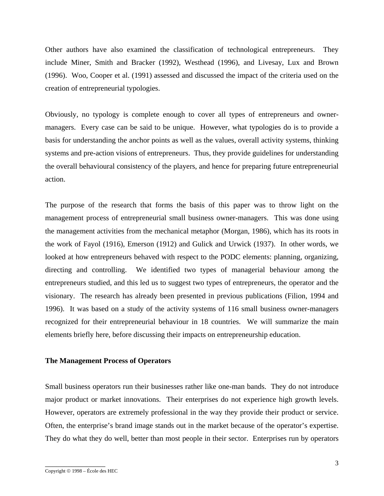Other authors have also examined the classification of technological entrepreneurs. They include Miner, Smith and Bracker (1992), Westhead (1996), and Livesay, Lux and Brown (1996). Woo, Cooper et al. (1991) assessed and discussed the impact of the criteria used on the creation of entrepreneurial typologies.

Obviously, no typology is complete enough to cover all types of entrepreneurs and ownermanagers. Every case can be said to be unique. However, what typologies do is to provide a basis for understanding the anchor points as well as the values, overall activity systems, thinking systems and pre-action visions of entrepreneurs. Thus, they provide guidelines for understanding the overall behavioural consistency of the players, and hence for preparing future entrepreneurial action.

The purpose of the research that forms the basis of this paper was to throw light on the management process of entrepreneurial small business owner-managers. This was done using the management activities from the mechanical metaphor (Morgan, 1986), which has its roots in the work of Fayol (1916), Emerson (1912) and Gulick and Urwick (1937). In other words, we looked at how entrepreneurs behaved with respect to the PODC elements: planning, organizing, directing and controlling. We identified two types of managerial behaviour among the entrepreneurs studied, and this led us to suggest two types of entrepreneurs, the operator and the visionary. The research has already been presented in previous publications (Filion, 1994 and 1996). It was based on a study of the activity systems of 116 small business owner-managers recognized for their entrepreneurial behaviour in 18 countries. We will summarize the main elements briefly here, before discussing their impacts on entrepreneurship education.

### **The Management Process of Operators**

Small business operators run their businesses rather like one-man bands. They do not introduce major product or market innovations. Their enterprises do not experience high growth levels. However, operators are extremely professional in the way they provide their product or service. Often, the enterprise's brand image stands out in the market because of the operator's expertise. They do what they do well, better than most people in their sector. Enterprises run by operators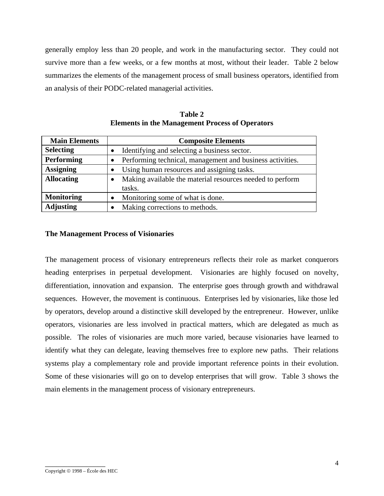generally employ less than 20 people, and work in the manufacturing sector. They could not survive more than a few weeks, or a few months at most, without their leader. Table 2 below summarizes the elements of the management process of small business operators, identified from an analysis of their PODC-related managerial activities.

| <b>Main Elements</b> | <b>Composite Elements</b>                                 |
|----------------------|-----------------------------------------------------------|
| <b>Selecting</b>     | Identifying and selecting a business sector.              |
| <b>Performing</b>    | Performing technical, management and business activities. |
| <b>Assigning</b>     | Using human resources and assigning tasks.                |
| <b>Allocating</b>    | Making available the material resources needed to perform |
|                      | tasks.                                                    |
| <b>Monitoring</b>    | Monitoring some of what is done.                          |
| <b>Adjusting</b>     | Making corrections to methods.                            |

**Table 2 Elements in the Management Process of Operators** 

# **The Management Process of Visionaries**

The management process of visionary entrepreneurs reflects their role as market conquerors heading enterprises in perpetual development. Visionaries are highly focused on novelty, differentiation, innovation and expansion. The enterprise goes through growth and withdrawal sequences. However, the movement is continuous. Enterprises led by visionaries, like those led by operators, develop around a distinctive skill developed by the entrepreneur. However, unlike operators, visionaries are less involved in practical matters, which are delegated as much as possible. The roles of visionaries are much more varied, because visionaries have learned to identify what they can delegate, leaving themselves free to explore new paths. Their relations systems play a complementary role and provide important reference points in their evolution. Some of these visionaries will go on to develop enterprises that will grow. Table 3 shows the main elements in the management process of visionary entrepreneurs.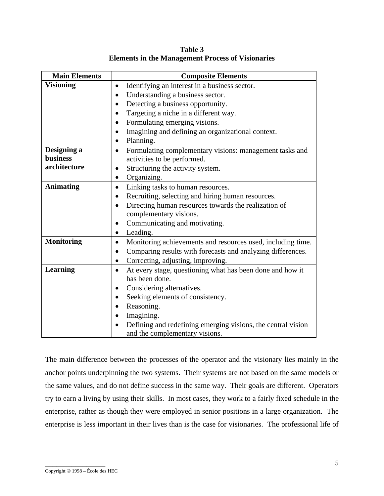| <b>Main Elements</b> | <b>Composite Elements</b>                                                |  |  |  |
|----------------------|--------------------------------------------------------------------------|--|--|--|
| <b>Visioning</b>     | Identifying an interest in a business sector.                            |  |  |  |
|                      | Understanding a business sector.<br>$\bullet$                            |  |  |  |
|                      | Detecting a business opportunity.<br>$\bullet$                           |  |  |  |
|                      | Targeting a niche in a different way.<br>$\bullet$                       |  |  |  |
|                      | Formulating emerging visions.                                            |  |  |  |
|                      | Imagining and defining an organizational context.<br>$\bullet$           |  |  |  |
|                      | Planning.<br>$\bullet$                                                   |  |  |  |
| Designing a          | Formulating complementary visions: management tasks and<br>$\bullet$     |  |  |  |
| business             | activities to be performed.                                              |  |  |  |
| architecture         | Structuring the activity system.<br>$\bullet$                            |  |  |  |
|                      | Organizing.<br>$\bullet$                                                 |  |  |  |
| <b>Animating</b>     | Linking tasks to human resources.<br>$\bullet$                           |  |  |  |
|                      | Recruiting, selecting and hiring human resources.<br>$\bullet$           |  |  |  |
|                      | Directing human resources towards the realization of<br>$\bullet$        |  |  |  |
|                      | complementary visions.                                                   |  |  |  |
|                      | Communicating and motivating.<br>$\bullet$                               |  |  |  |
|                      | Leading.<br>$\bullet$                                                    |  |  |  |
| <b>Monitoring</b>    | Monitoring achievements and resources used, including time.<br>$\bullet$ |  |  |  |
|                      | Comparing results with forecasts and analyzing differences.<br>$\bullet$ |  |  |  |
|                      | Correcting, adjusting, improving.<br>$\bullet$                           |  |  |  |
| <b>Learning</b>      | At every stage, questioning what has been done and how it<br>$\bullet$   |  |  |  |
|                      | has been done.                                                           |  |  |  |
|                      | Considering alternatives.<br>$\bullet$                                   |  |  |  |
|                      | Seeking elements of consistency.<br>$\bullet$                            |  |  |  |
|                      | Reasoning.<br>$\bullet$                                                  |  |  |  |
|                      | Imagining.                                                               |  |  |  |
|                      | Defining and redefining emerging visions, the central vision             |  |  |  |
|                      | and the complementary visions.                                           |  |  |  |

**Table 3 Elements in the Management Process of Visionaries** 

The main difference between the processes of the operator and the visionary lies mainly in the anchor points underpinning the two systems. Their systems are not based on the same models or the same values, and do not define success in the same way. Their goals are different. Operators try to earn a living by using their skills. In most cases, they work to a fairly fixed schedule in the enterprise, rather as though they were employed in senior positions in a large organization. The enterprise is less important in their lives than is the case for visionaries. The professional life of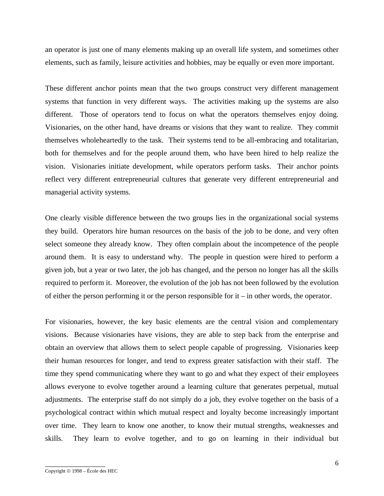an operator is just one of many elements making up an overall life system, and sometimes other elements, such as family, leisure activities and hobbies, may be equally or even more important.

These different anchor points mean that the two groups construct very different management systems that function in very different ways. The activities making up the systems are also different. Those of operators tend to focus on what the operators themselves enjoy doing. Visionaries, on the other hand, have dreams or visions that they want to realize. They commit themselves wholeheartedly to the task. Their systems tend to be all-embracing and totalitarian, both for themselves and for the people around them, who have been hired to help realize the vision. Visionaries initiate development, while operators perform tasks. Their anchor points reflect very different entrepreneurial cultures that generate very different entrepreneurial and managerial activity systems.

One clearly visible difference between the two groups lies in the organizational social systems they build. Operators hire human resources on the basis of the job to be done, and very often select someone they already know. They often complain about the incompetence of the people around them. It is easy to understand why. The people in question were hired to perform a given job, but a year or two later, the job has changed, and the person no longer has all the skills required to perform it. Moreover, the evolution of the job has not been followed by the evolution of either the person performing it or the person responsible for it – in other words, the operator.

For visionaries, however, the key basic elements are the central vision and complementary visions. Because visionaries have visions, they are able to step back from the enterprise and obtain an overview that allows them to select people capable of progressing. Visionaries keep their human resources for longer, and tend to express greater satisfaction with their staff. The time they spend communicating where they want to go and what they expect of their employees allows everyone to evolve together around a learning culture that generates perpetual, mutual adjustments. The enterprise staff do not simply do a job, they evolve together on the basis of a psychological contract within which mutual respect and loyalty become increasingly important over time. They learn to know one another, to know their mutual strengths, weaknesses and skills. They learn to evolve together, and to go on learning in their individual but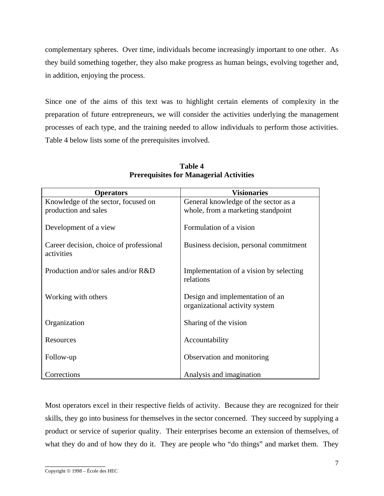complementary spheres. Over time, individuals become increasingly important to one other. As they build something together, they also make progress as human beings, evolving together and, in addition, enjoying the process.

Since one of the aims of this text was to highlight certain elements of complexity in the preparation of future entrepreneurs, we will consider the activities underlying the management processes of each type, and the training needed to allow individuals to perform those activities. Table 4 below lists some of the prerequisites involved.

| <b>Operators</b>                                      | <b>Visionaries</b>                                                |  |
|-------------------------------------------------------|-------------------------------------------------------------------|--|
| Knowledge of the sector, focused on                   | General knowledge of the sector as a                              |  |
| production and sales                                  | whole, from a marketing standpoint                                |  |
| Development of a view                                 | Formulation of a vision                                           |  |
| Career decision, choice of professional<br>activities | Business decision, personal commitment                            |  |
| Production and/or sales and/or R&D                    | Implementation of a vision by selecting<br>relations              |  |
| Working with others                                   | Design and implementation of an<br>organizational activity system |  |
| Organization                                          | Sharing of the vision                                             |  |
| Resources                                             | Accountability                                                    |  |
| Follow-up                                             | Observation and monitoring                                        |  |
| Corrections                                           | Analysis and imagination                                          |  |

**Table 4 Prerequisites for Managerial Activities** 

Most operators excel in their respective fields of activity. Because they are recognized for their skills, they go into business for themselves in the sector concerned. They succeed by supplying a product or service of superior quality. Their enterprises become an extension of themselves, of what they do and of how they do it. They are people who "do things" and market them. They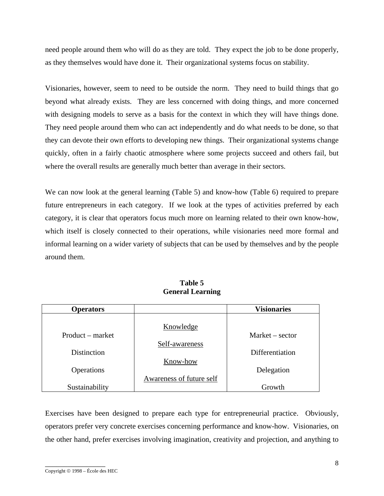need people around them who will do as they are told. They expect the job to be done properly, as they themselves would have done it. Their organizational systems focus on stability.

Visionaries, however, seem to need to be outside the norm. They need to build things that go beyond what already exists. They are less concerned with doing things, and more concerned with designing models to serve as a basis for the context in which they will have things done. They need people around them who can act independently and do what needs to be done, so that they can devote their own efforts to developing new things. Their organizational systems change quickly, often in a fairly chaotic atmosphere where some projects succeed and others fail, but where the overall results are generally much better than average in their sectors.

We can now look at the general learning (Table 5) and know-how (Table 6) required to prepare future entrepreneurs in each category. If we look at the types of activities preferred by each category, it is clear that operators focus much more on learning related to their own know-how, which itself is closely connected to their operations, while visionaries need more formal and informal learning on a wider variety of subjects that can be used by themselves and by the people around them.

| <b>Operators</b>   |                          | <b>Visionaries</b> |
|--------------------|--------------------------|--------------------|
|                    |                          |                    |
|                    | Knowledge                |                    |
| Product – market   |                          | $Market - sector$  |
|                    | Self-awareness           |                    |
| <b>Distinction</b> |                          | Differentiation    |
|                    | Know-how                 |                    |
| Operations         |                          | Delegation         |
|                    | Awareness of future self |                    |
| Sustainability     |                          | Growth             |

**Table 5 General Learning** 

Exercises have been designed to prepare each type for entrepreneurial practice. Obviously, operators prefer very concrete exercises concerning performance and know-how. Visionaries, on the other hand, prefer exercises involving imagination, creativity and projection, and anything to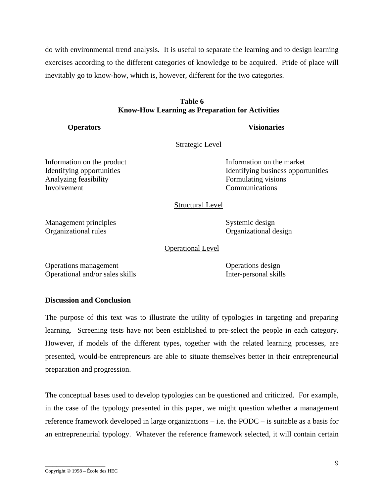do with environmental trend analysis. It is useful to separate the learning and to design learning exercises according to the different categories of knowledge to be acquired. Pride of place will inevitably go to know-how, which is, however, different for the two categories.

# **Table 6 Know-How Learning as Preparation for Activities**

*<u>Operators</u>* **Visionaries** 

#### Strategic Level

Analyzing feasibility Formulating visions Involvement Communications

Information on the product Information on the market Identifying opportunities Identifying business opportunities

# Structural Level

Management principles Systemic design Organizational rules Organizational design

Operational Level

Operations management Operations design Operational and/or sales skills Inter-personal skills

# **Discussion and Conclusion**

The purpose of this text was to illustrate the utility of typologies in targeting and preparing learning. Screening tests have not been established to pre-select the people in each category. However, if models of the different types, together with the related learning processes, are presented, would-be entrepreneurs are able to situate themselves better in their entrepreneurial preparation and progression.

The conceptual bases used to develop typologies can be questioned and criticized. For example, in the case of the typology presented in this paper, we might question whether a management reference framework developed in large organizations – i.e. the PODC – is suitable as a basis for an entrepreneurial typology. Whatever the reference framework selected, it will contain certain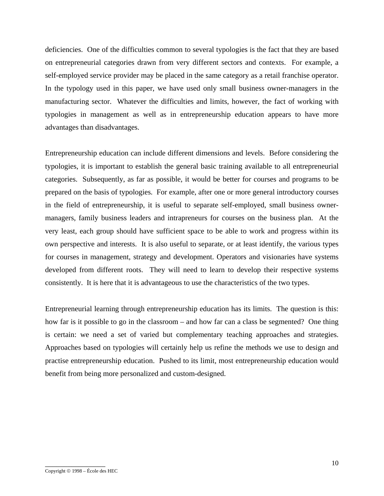deficiencies. One of the difficulties common to several typologies is the fact that they are based on entrepreneurial categories drawn from very different sectors and contexts. For example, a self-employed service provider may be placed in the same category as a retail franchise operator. In the typology used in this paper, we have used only small business owner-managers in the manufacturing sector. Whatever the difficulties and limits, however, the fact of working with typologies in management as well as in entrepreneurship education appears to have more advantages than disadvantages.

Entrepreneurship education can include different dimensions and levels. Before considering the typologies, it is important to establish the general basic training available to all entrepreneurial categories. Subsequently, as far as possible, it would be better for courses and programs to be prepared on the basis of typologies. For example, after one or more general introductory courses in the field of entrepreneurship, it is useful to separate self-employed, small business ownermanagers, family business leaders and intrapreneurs for courses on the business plan. At the very least, each group should have sufficient space to be able to work and progress within its own perspective and interests. It is also useful to separate, or at least identify, the various types for courses in management, strategy and development. Operators and visionaries have systems developed from different roots. They will need to learn to develop their respective systems consistently. It is here that it is advantageous to use the characteristics of the two types.

Entrepreneurial learning through entrepreneurship education has its limits. The question is this: how far is it possible to go in the classroom – and how far can a class be segmented? One thing is certain: we need a set of varied but complementary teaching approaches and strategies. Approaches based on typologies will certainly help us refine the methods we use to design and practise entrepreneurship education. Pushed to its limit, most entrepreneurship education would benefit from being more personalized and custom-designed.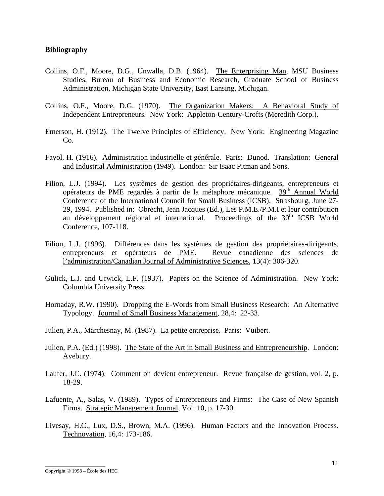#### **Bibliography**

- Collins, O.F., Moore, D.G., Unwalla, D.B. (1964). The Enterprising Man, MSU Business Studies, Bureau of Business and Economic Research, Graduate School of Business Administration, Michigan State University, East Lansing, Michigan.
- Collins, O.F., Moore, D.G. (1970). The Organization Makers: A Behavioral Study of Independent Entrepreneurs*.* New York: Appleton-Century-Crofts (Meredith Corp.).
- Emerson, H. (1912). The Twelve Principles of Efficiency. New York: Engineering Magazine Co.
- Fayol, H. (1916). Administration industrielle et générale. Paris: Dunod. Translation: General and Industrial Administration (1949). London: Sir Isaac Pitman and Sons.
- Filion, L.J. (1994). Les systèmes de gestion des propriétaires-dirigeants, entrepreneurs et opérateurs de PME regardés à partir de la métaphore mécanique. 39<sup>th</sup> Annual World Conference of the International Council for Small Business (ICSB). Strasbourg, June 27- 29, 1994. Published in: Obrecht, Jean Jacques (Ed.), Les P.M.E./P.M.I et leur contribution au développement régional et international. Proceedings of the  $30<sup>th</sup>$  ICSB World Conference, 107-118.
- Filion, L.J. (1996). Différences dans les systèmes de gestion des propriétaires-dirigeants, entrepreneurs et opérateurs de PME. Revue canadienne des sciences de l'administration/Canadian Journal of Administrative Sciences, 13(4): 306-320.
- Gulick, L.J. and Urwick, L.F. (1937). Papers on the Science of Administration. New York: Columbia University Press.
- Hornaday, R.W. (1990). Dropping the E-Words from Small Business Research: An Alternative Typology. Journal of Small Business Management, 28,4: 22-33.
- Julien, P.A., Marchesnay, M. (1987). La petite entreprise. Paris: Vuibert.
- Julien, P.A. (Ed.) (1998). The State of the Art in Small Business and Entrepreneurship. London: Avebury.
- Laufer, J.C. (1974). Comment on devient entrepreneur. Revue française de gestion, vol. 2, p. 18-29.
- Lafuente, A., Salas, V. (1989). Types of Entrepreneurs and Firms: The Case of New Spanish Firms. Strategic Management Journal, Vol. 10, p. 17-30.
- Livesay, H.C., Lux, D.S., Brown, M.A. (1996). Human Factors and the Innovation Process. Technovation, 16,4: 173-186.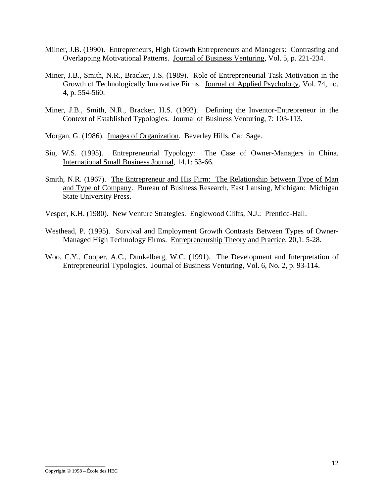- Milner, J.B. (1990). Entrepreneurs, High Growth Entrepreneurs and Managers: Contrasting and Overlapping Motivational Patterns. Journal of Business Venturing, Vol. 5, p. 221-234.
- Miner, J.B., Smith, N.R., Bracker, J.S. (1989). Role of Entrepreneurial Task Motivation in the Growth of Technologically Innovative Firms. Journal of Applied Psychology, Vol. 74, no. 4, p. 554-560.
- Miner, J.B., Smith, N.R., Bracker, H.S. (1992). Defining the Inventor-Entrepreneur in the Context of Established Typologies. Journal of Business Venturing, 7: 103-113.
- Morgan, G. (1986). Images of Organization. Beverley Hills, Ca: Sage.
- Siu, W.S. (1995). Entrepreneurial Typology: The Case of Owner-Managers in China. International Small Business Journal, 14,1: 53-66.
- Smith, N.R. (1967). The Entrepreneur and His Firm: The Relationship between Type of Man and Type of Company. Bureau of Business Research, East Lansing, Michigan: Michigan State University Press.
- Vesper, K.H. (1980). New Venture Strategies. Englewood Cliffs, N.J.: Prentice-Hall.
- Westhead, P. (1995). Survival and Employment Growth Contrasts Between Types of Owner-Managed High Technology Firms. Entrepreneurship Theory and Practice, 20,1: 5-28.
- Woo, C.Y., Cooper, A.C., Dunkelberg, W.C. (1991). The Development and Interpretation of Entrepreneurial Typologies. Journal of Business Venturing, Vol. 6, No. 2, p. 93-114.